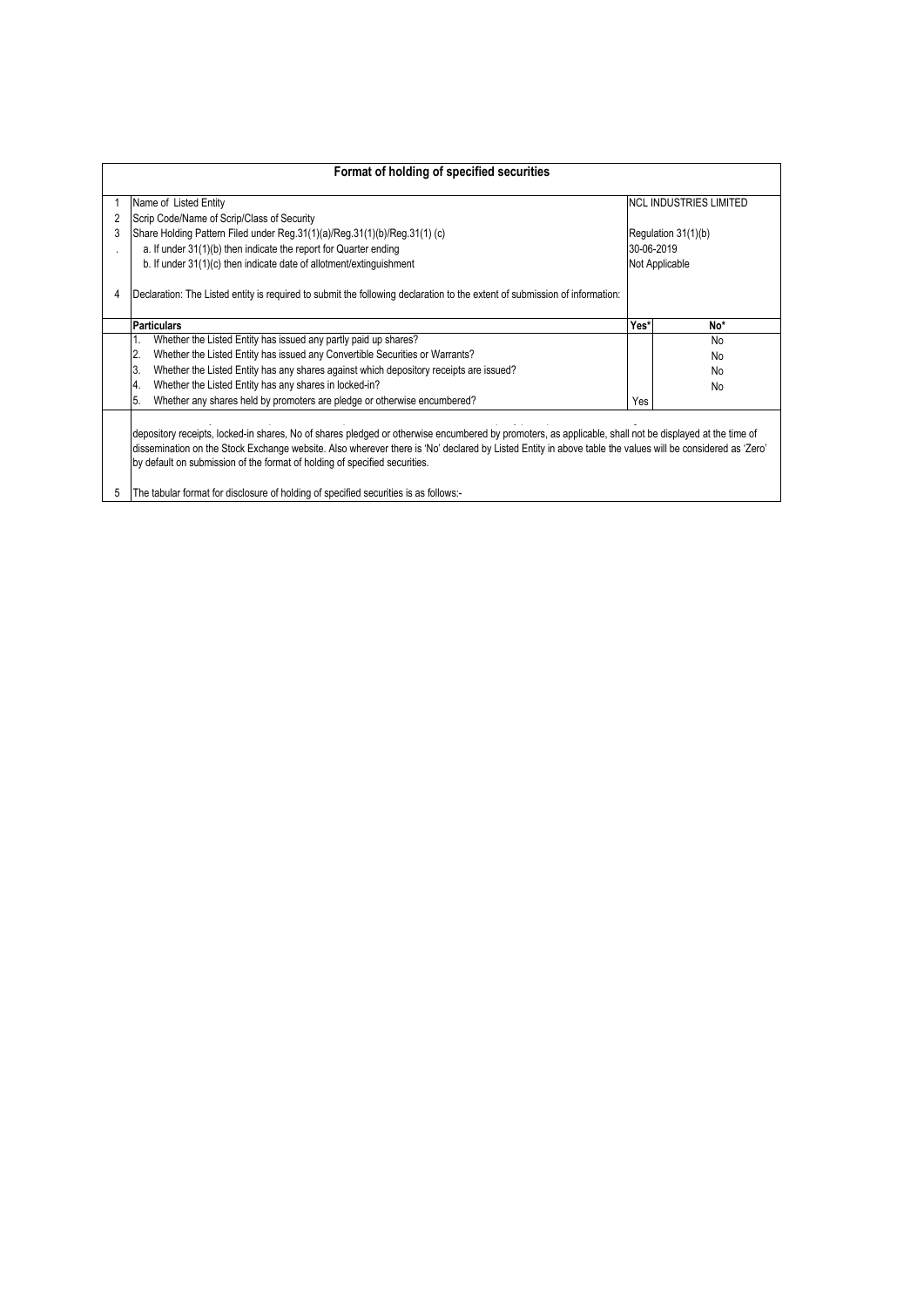|   | Format of holding of specified securities                                                                                                                                                                                                                                                                                                                                                         |                |                               |
|---|---------------------------------------------------------------------------------------------------------------------------------------------------------------------------------------------------------------------------------------------------------------------------------------------------------------------------------------------------------------------------------------------------|----------------|-------------------------------|
|   | Name of Listed Entity                                                                                                                                                                                                                                                                                                                                                                             |                | <b>NCL INDUSTRIES LIMITED</b> |
| 2 | Scrip Code/Name of Scrip/Class of Security                                                                                                                                                                                                                                                                                                                                                        |                |                               |
| 3 | Share Holding Pattern Filed under Reg. 31(1)(a)/Reg. 31(1)(b)/Reg. 31(1) (c)                                                                                                                                                                                                                                                                                                                      |                | Regulation 31(1)(b)           |
|   | a. If under 31(1)(b) then indicate the report for Quarter ending                                                                                                                                                                                                                                                                                                                                  | 30-06-2019     |                               |
|   | b. If under 31(1)(c) then indicate date of allotment/extinguishment                                                                                                                                                                                                                                                                                                                               | Not Applicable |                               |
| 4 | Declaration: The Listed entity is required to submit the following declaration to the extent of submission of information:                                                                                                                                                                                                                                                                        |                |                               |
|   | <b>Particulars</b>                                                                                                                                                                                                                                                                                                                                                                                | Yes*           | No*                           |
|   | Whether the Listed Entity has issued any partly paid up shares?<br>1.                                                                                                                                                                                                                                                                                                                             |                | No                            |
|   | Whether the Listed Entity has issued any Convertible Securities or Warrants?<br>2.                                                                                                                                                                                                                                                                                                                |                | No                            |
|   | Whether the Listed Entity has any shares against which depository receipts are issued?<br>ΙЗ.                                                                                                                                                                                                                                                                                                     |                | No                            |
|   | Whether the Listed Entity has any shares in locked-in?<br>4.                                                                                                                                                                                                                                                                                                                                      |                | No                            |
|   | Whether any shares held by promoters are pledge or otherwise encumbered?<br>5.                                                                                                                                                                                                                                                                                                                    | Yes            |                               |
|   | depository receipts, locked-in shares, No of shares pledged or otherwise encumbered by promoters, as applicable, shall not be displayed at the time of<br>dissemination on the Stock Exchange website. Also wherever there is 'No' declared by Listed Entity in above table the values will be considered as 'Zero'<br>by default on submission of the format of holding of specified securities. |                |                               |
| 5 | The tabular format for disclosure of holding of specified securities is as follows:-                                                                                                                                                                                                                                                                                                              |                |                               |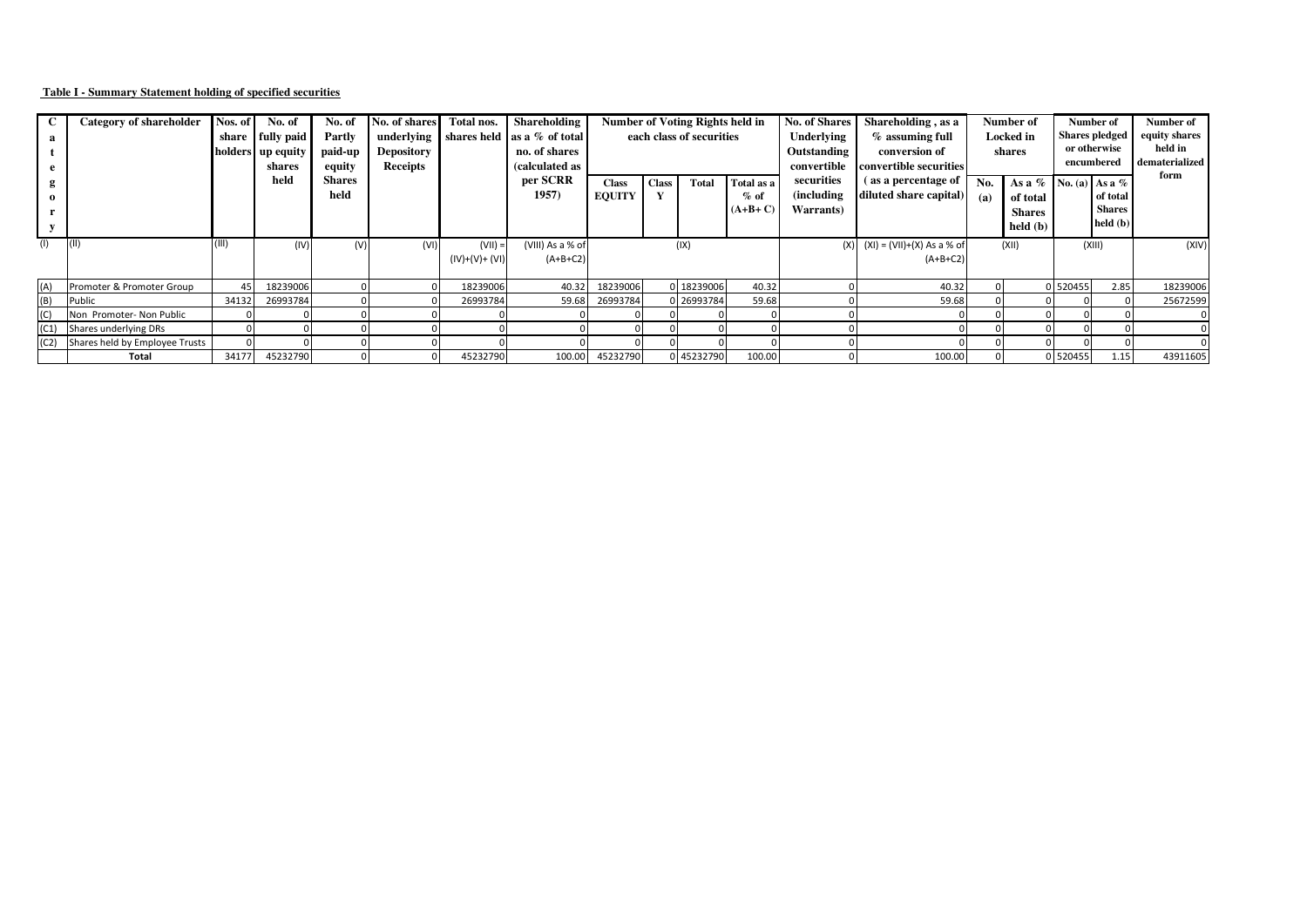## **Table I - Summary Statement holding of specified securities**

|      | Category of shareholder             | Nos. of<br>share | No. of<br>fully paid<br>holders up equity<br>shares | No. of<br>Partly<br>paid-up<br>equity | No. of shares<br>underlying<br><b>Depository</b><br><b>Receipts</b> | Total nos.              | Shareholding<br>shares held as a % of total<br>no. of shares<br>(calculated as | <b>Number of Voting Rights held in</b><br>each class of securities |              |            |                                   | <b>No. of Shares</b><br>Shareholding, as a<br>$%$ assuming full<br>Underlying<br>Outstanding<br>conversion of<br>convertible securities<br>convertible |                                               | Number of<br>Locked in<br>shares |                                                                        |          |                                       | Number of<br>encumbered | <b>Shares pledged</b><br>or otherwise | Number of<br>equity shares<br>held in<br>dematerialized<br>form |
|------|-------------------------------------|------------------|-----------------------------------------------------|---------------------------------------|---------------------------------------------------------------------|-------------------------|--------------------------------------------------------------------------------|--------------------------------------------------------------------|--------------|------------|-----------------------------------|--------------------------------------------------------------------------------------------------------------------------------------------------------|-----------------------------------------------|----------------------------------|------------------------------------------------------------------------|----------|---------------------------------------|-------------------------|---------------------------------------|-----------------------------------------------------------------|
|      |                                     |                  | held                                                | <b>Shares</b><br>held                 |                                                                     |                         | per SCRR<br>1957)                                                              | <b>Class</b><br><b>EQUITY</b>                                      | <b>Class</b> | Total      | Total as a<br>$%$ of<br>$(A+B+C)$ | securities<br>(including<br>Warrants)                                                                                                                  | (as a percentage of<br>diluted share capital) | No.<br>(a)                       | As a $\%$ No. (a) As a $\%$<br>of total<br><b>Shares</b><br>held $(b)$ |          | of total<br><b>Shares</b><br>held (b) |                         |                                       |                                                                 |
| (1)  | ( 1 )                               | (III)            | (IV)                                                | (V)                                   | (VI)                                                                | (VII)<br>$(IV)+(V)+(V)$ | (VIII) As a % of<br>$(A+B+C2)$                                                 |                                                                    |              | (IX)       |                                   | (X)                                                                                                                                                    | $(XI) = (VII)+(X) As a % of$<br>$(A+B+C2)$    |                                  | (XII)                                                                  |          | (XIII)                                | (XIV)                   |                                       |                                                                 |
| (A)  | Promoter & Promoter Group           | 45               | 18239006                                            |                                       |                                                                     | 18239006                | 40.32                                                                          | 18239006                                                           |              | 0 18239006 | 40.32                             |                                                                                                                                                        | 40.32                                         |                                  |                                                                        | 0 520455 | 2.85                                  | 18239006                |                                       |                                                                 |
| (B)  | Public                              | 34132            | 26993784                                            |                                       |                                                                     | 26993784                | 59.68                                                                          | 26993784                                                           |              | 0 26993784 | 59.68                             |                                                                                                                                                        | 59.68                                         |                                  |                                                                        |          |                                       | 25672599                |                                       |                                                                 |
|      | Non Promoter- Non Public            |                  |                                                     |                                       |                                                                     |                         |                                                                                |                                                                    |              |            |                                   |                                                                                                                                                        |                                               |                                  |                                                                        |          |                                       |                         |                                       |                                                                 |
| (C1) | Shares underlying DRs               |                  |                                                     |                                       |                                                                     |                         |                                                                                |                                                                    |              |            |                                   |                                                                                                                                                        |                                               |                                  |                                                                        |          |                                       |                         |                                       |                                                                 |
|      | (C2) Shares held by Employee Trusts |                  |                                                     |                                       |                                                                     |                         |                                                                                |                                                                    |              |            |                                   |                                                                                                                                                        |                                               |                                  |                                                                        |          |                                       |                         |                                       |                                                                 |
|      | Total                               | 34177            | 45232790                                            |                                       |                                                                     | 45232790                |                                                                                | 100.00 45232790                                                    |              | 0 45232790 | 100.00                            |                                                                                                                                                        | 100.00                                        |                                  |                                                                        | 0 520455 | 1.15                                  | 43911605                |                                       |                                                                 |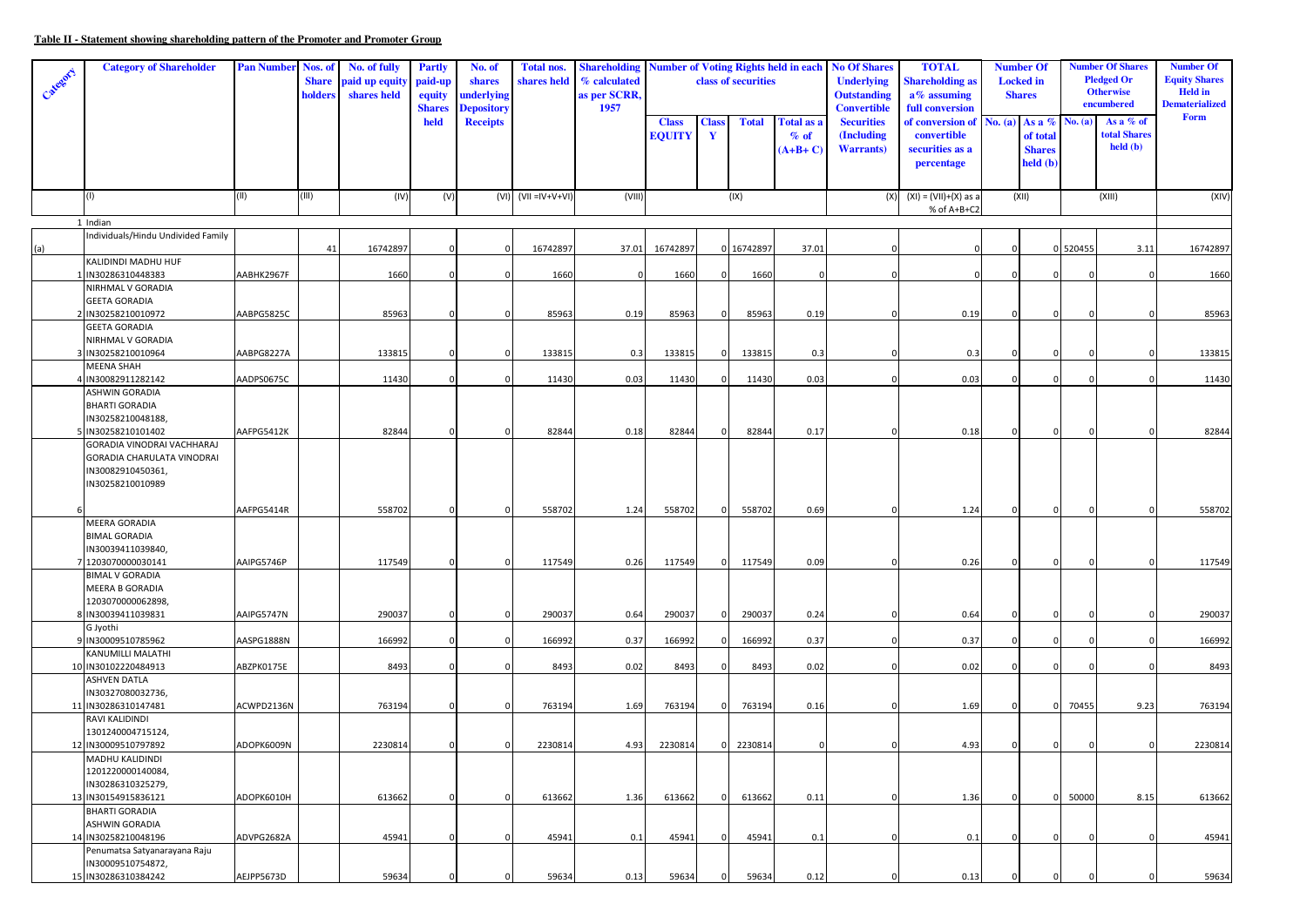## **Table II - Statement showing shareholding pattern of the Promoter and Promoter Group**

| held<br><b>Securities</b><br>of conversion of No. (a) As a $%$<br>As a $%$ of<br><b>Receipts</b><br><b>Class</b><br><b>Total</b><br>Total as a<br>No. (a)<br><b>Class</b><br>total Shares<br><b>EQUITY</b><br>$\mathbf Y$<br>% of<br>(Including<br>convertible<br>of total<br>$\text{held } (\textbf{b})$<br>$(A+B+C)$<br><b>Warrants</b> )<br>securities as a<br><b>Shares</b><br>held (b)<br>percentage<br>(III)<br>(II)<br>$(VI)$ $(VII = IV+V+VI)$<br>(VIII)<br>(IX)<br>(XII)<br>(XIII)<br>(1)<br>(IV)<br>(V)<br>$(XI) = (VII)+(X)$ as a<br>(X)<br>% of A+B+C2<br>1 Indian<br>Individuals/Hindu Undivided Family<br>16742897<br>16742897<br>16742897<br>37.01<br>41<br>16742897<br>37.01<br>0 520455<br>3.11<br>(a)<br>0<br>$\Omega$<br>$\Omega$<br>$\Omega$<br>KALIDINDI MADHU HUF<br>1 IN30286310448383<br>AABHK2967F<br>1660<br>1660<br>1660<br>$\mathbf 0$<br>1660<br>$\Omega$<br>$\Omega$<br>$\Omega$<br>NIRHMAL V GORADIA<br><b>GEETA GORADIA</b><br>2 IN30258210010972<br>AABPG5825C<br>85963<br>85963<br>85963<br>85963<br>0.19<br>0.19<br>0<br>0.19<br>$\mathbf 0$<br>$\Omega$<br>$\mathbf 0$<br>$\Omega$<br><b>GEETA GORADIA</b><br>NIRHMAL V GORADIA<br>3 IN30258210010964<br>AABPG8227A<br>133815<br>133815<br>0.3<br>133815<br>133815<br>0.3<br>0.3<br>0<br>$\Omega$<br>- 0<br><b>MEENA SHAH</b><br>0.03<br>4 IN30082911282142<br>AADPS0675C<br>11430<br>$\mathbf 0$<br>11430<br>0.03<br>11430<br>11430<br>0.03<br>$\mathbf 0$<br>$\Omega$<br>$\epsilon$<br>ASHWIN GORADIA<br><b>BHARTI GORADIA</b><br>IN30258210048188,<br>5 IN30258210101402<br>AAFPG5412K<br>82844<br>82844<br>0.18<br>82844<br>82844<br>0.17<br>0.18<br>$\Omega$<br>$\Omega$<br>$\Omega$<br>$\epsilon$<br>GORADIA VINODRAI VACHHARAJ<br>GORADIA CHARULATA VINODRAI<br>IN30082910450361,<br>IN30258210010989<br>AAFPG5414R<br>558702<br>558702<br>558702<br>558702<br>0.69<br>$\overline{0}$<br>$\Omega$<br>1.24<br>$\Omega$<br>1.24<br>$\Omega$<br>$\Omega$<br><b>MEERA GORADIA</b><br><b>BIMAL GORADIA</b><br>IN30039411039840,<br>7 1203070000030141<br>AAIPG5746P<br>117549<br>117549<br>0.26<br>117549<br>117549<br>0.09<br>0.26<br>$\overline{0}$<br>$\Omega$<br>$\Omega$<br>$\Omega$<br>$\Omega$<br><b>BIMAL V GORADIA</b><br>MEERA B GORADIA<br>1203070000062898,<br>8 IN30039411039831<br>AAIPG5747N<br>290037<br>290037<br>290037<br>290037<br>0.24<br>$\mathbf{0}$<br>0.64<br>0.64<br>$\Omega$<br>$\Omega$<br>G Jyothi<br>0.37<br>AASPG1888N<br>166992<br>166992<br>0.37<br>166992<br>166992<br>0.37<br>9 IN30009510785962<br>0<br>$\Omega$<br>$\Omega$<br>$\Omega$<br>KANUMILLI MALATHI<br>10 IN30102220484913<br>ABZPK0175E<br>8493<br>$\mathbf 0$<br>8493<br>0.02<br>8493<br>8493<br>0.02<br>0.02<br>$\Omega$<br>$\Omega$<br>ſ<br>ASHVEN DATLA<br>IN30327080032736,<br>11 IN30286310147481<br>ACWPD2136N<br>763194<br>763194<br>1.69<br>763194<br>763194<br>0.16<br>1.69<br>70455<br>9.23<br>$\mathbf 0$<br>$\Omega$<br>$\mathbf 0$<br>$\Omega$<br>$\Omega$<br>RAVI KALIDINDI<br>1301240004715124,<br>12 IN30009510797892<br>ADOPK6009N<br>2230814<br>2230814<br>2230814<br>2230814<br>4.93<br>4.93<br>$\Omega$<br>$\Omega$<br>MADHU KALIDINDI<br>1201220000140084,<br>IN30286310325279,<br>13 IN30154915836121<br>ADOPK6010H<br>613662<br>$\mathbf 0$<br>613662<br>1.36<br>613662<br>613662<br>0.11<br>1.36<br>50000<br>8.15<br>0<br>$\mathbf 0$<br>$\mathbf 0$<br>$\mathbf 0$ | Category | <b>Category of Shareholder</b> | <b>Pan Number</b> | Nos. of<br><b>Share</b><br>holders | No. of fully<br>paid up equit<br>shares held | <b>Partly</b><br>paid-up<br>equity<br><b>Shares</b> | No. of<br>shares<br>underlying<br><b>Depository</b> | <b>Total nos.</b><br>shares held | <b>Shareholding</b><br>% calculated<br>as per SCRR,<br>1957 | <b>Number of Voting Rights held in each</b><br>class of securities |  | <b>No Of Shares</b><br><b>Underlying</b><br><b>Outstanding</b><br><b>Convertible</b> | <b>TOTAL</b><br><b>Shareholding as</b><br>$a\%$ assuming<br>full conversion | <b>Number Of</b><br><b>Locked</b> in<br><b>Shares</b> |  | <b>Number Of Shares</b><br><b>Pledged Or</b><br><b>Otherwise</b><br>encumbered |  | <b>Number Of</b><br><b>Equity Shares</b><br><b>Held</b> in<br><b>Dematerialized</b><br>Form |          |
|-----------------------------------------------------------------------------------------------------------------------------------------------------------------------------------------------------------------------------------------------------------------------------------------------------------------------------------------------------------------------------------------------------------------------------------------------------------------------------------------------------------------------------------------------------------------------------------------------------------------------------------------------------------------------------------------------------------------------------------------------------------------------------------------------------------------------------------------------------------------------------------------------------------------------------------------------------------------------------------------------------------------------------------------------------------------------------------------------------------------------------------------------------------------------------------------------------------------------------------------------------------------------------------------------------------------------------------------------------------------------------------------------------------------------------------------------------------------------------------------------------------------------------------------------------------------------------------------------------------------------------------------------------------------------------------------------------------------------------------------------------------------------------------------------------------------------------------------------------------------------------------------------------------------------------------------------------------------------------------------------------------------------------------------------------------------------------------------------------------------------------------------------------------------------------------------------------------------------------------------------------------------------------------------------------------------------------------------------------------------------------------------------------------------------------------------------------------------------------------------------------------------------------------------------------------------------------------------------------------------------------------------------------------------------------------------------------------------------------------------------------------------------------------------------------------------------------------------------------------------------------------------------------------------------------------------------------------------------------------------------------------------------------------------------------------------------------------------------------------------------------------------------------------------------------------------------------------------------------------------------------------------------------------------------------------------------------------------------------------------------------------|----------|--------------------------------|-------------------|------------------------------------|----------------------------------------------|-----------------------------------------------------|-----------------------------------------------------|----------------------------------|-------------------------------------------------------------|--------------------------------------------------------------------|--|--------------------------------------------------------------------------------------|-----------------------------------------------------------------------------|-------------------------------------------------------|--|--------------------------------------------------------------------------------|--|---------------------------------------------------------------------------------------------|----------|
|                                                                                                                                                                                                                                                                                                                                                                                                                                                                                                                                                                                                                                                                                                                                                                                                                                                                                                                                                                                                                                                                                                                                                                                                                                                                                                                                                                                                                                                                                                                                                                                                                                                                                                                                                                                                                                                                                                                                                                                                                                                                                                                                                                                                                                                                                                                                                                                                                                                                                                                                                                                                                                                                                                                                                                                                                                                                                                                                                                                                                                                                                                                                                                                                                                                                                                                                                                                   |          |                                |                   |                                    |                                              |                                                     |                                                     |                                  |                                                             |                                                                    |  |                                                                                      |                                                                             |                                                       |  |                                                                                |  |                                                                                             |          |
|                                                                                                                                                                                                                                                                                                                                                                                                                                                                                                                                                                                                                                                                                                                                                                                                                                                                                                                                                                                                                                                                                                                                                                                                                                                                                                                                                                                                                                                                                                                                                                                                                                                                                                                                                                                                                                                                                                                                                                                                                                                                                                                                                                                                                                                                                                                                                                                                                                                                                                                                                                                                                                                                                                                                                                                                                                                                                                                                                                                                                                                                                                                                                                                                                                                                                                                                                                                   |          |                                |                   |                                    |                                              |                                                     |                                                     |                                  |                                                             |                                                                    |  |                                                                                      |                                                                             |                                                       |  |                                                                                |  |                                                                                             | (XIV)    |
|                                                                                                                                                                                                                                                                                                                                                                                                                                                                                                                                                                                                                                                                                                                                                                                                                                                                                                                                                                                                                                                                                                                                                                                                                                                                                                                                                                                                                                                                                                                                                                                                                                                                                                                                                                                                                                                                                                                                                                                                                                                                                                                                                                                                                                                                                                                                                                                                                                                                                                                                                                                                                                                                                                                                                                                                                                                                                                                                                                                                                                                                                                                                                                                                                                                                                                                                                                                   |          |                                |                   |                                    |                                              |                                                     |                                                     |                                  |                                                             |                                                                    |  |                                                                                      |                                                                             |                                                       |  |                                                                                |  |                                                                                             |          |
|                                                                                                                                                                                                                                                                                                                                                                                                                                                                                                                                                                                                                                                                                                                                                                                                                                                                                                                                                                                                                                                                                                                                                                                                                                                                                                                                                                                                                                                                                                                                                                                                                                                                                                                                                                                                                                                                                                                                                                                                                                                                                                                                                                                                                                                                                                                                                                                                                                                                                                                                                                                                                                                                                                                                                                                                                                                                                                                                                                                                                                                                                                                                                                                                                                                                                                                                                                                   |          |                                |                   |                                    |                                              |                                                     |                                                     |                                  |                                                             |                                                                    |  |                                                                                      |                                                                             |                                                       |  |                                                                                |  |                                                                                             |          |
|                                                                                                                                                                                                                                                                                                                                                                                                                                                                                                                                                                                                                                                                                                                                                                                                                                                                                                                                                                                                                                                                                                                                                                                                                                                                                                                                                                                                                                                                                                                                                                                                                                                                                                                                                                                                                                                                                                                                                                                                                                                                                                                                                                                                                                                                                                                                                                                                                                                                                                                                                                                                                                                                                                                                                                                                                                                                                                                                                                                                                                                                                                                                                                                                                                                                                                                                                                                   |          |                                |                   |                                    |                                              |                                                     |                                                     |                                  |                                                             |                                                                    |  |                                                                                      |                                                                             |                                                       |  |                                                                                |  |                                                                                             | 16742897 |
|                                                                                                                                                                                                                                                                                                                                                                                                                                                                                                                                                                                                                                                                                                                                                                                                                                                                                                                                                                                                                                                                                                                                                                                                                                                                                                                                                                                                                                                                                                                                                                                                                                                                                                                                                                                                                                                                                                                                                                                                                                                                                                                                                                                                                                                                                                                                                                                                                                                                                                                                                                                                                                                                                                                                                                                                                                                                                                                                                                                                                                                                                                                                                                                                                                                                                                                                                                                   |          |                                |                   |                                    |                                              |                                                     |                                                     |                                  |                                                             |                                                                    |  |                                                                                      |                                                                             |                                                       |  |                                                                                |  |                                                                                             |          |
|                                                                                                                                                                                                                                                                                                                                                                                                                                                                                                                                                                                                                                                                                                                                                                                                                                                                                                                                                                                                                                                                                                                                                                                                                                                                                                                                                                                                                                                                                                                                                                                                                                                                                                                                                                                                                                                                                                                                                                                                                                                                                                                                                                                                                                                                                                                                                                                                                                                                                                                                                                                                                                                                                                                                                                                                                                                                                                                                                                                                                                                                                                                                                                                                                                                                                                                                                                                   |          |                                |                   |                                    |                                              |                                                     |                                                     |                                  |                                                             |                                                                    |  |                                                                                      |                                                                             |                                                       |  |                                                                                |  |                                                                                             | 1660     |
|                                                                                                                                                                                                                                                                                                                                                                                                                                                                                                                                                                                                                                                                                                                                                                                                                                                                                                                                                                                                                                                                                                                                                                                                                                                                                                                                                                                                                                                                                                                                                                                                                                                                                                                                                                                                                                                                                                                                                                                                                                                                                                                                                                                                                                                                                                                                                                                                                                                                                                                                                                                                                                                                                                                                                                                                                                                                                                                                                                                                                                                                                                                                                                                                                                                                                                                                                                                   |          |                                |                   |                                    |                                              |                                                     |                                                     |                                  |                                                             |                                                                    |  |                                                                                      |                                                                             |                                                       |  |                                                                                |  |                                                                                             |          |
|                                                                                                                                                                                                                                                                                                                                                                                                                                                                                                                                                                                                                                                                                                                                                                                                                                                                                                                                                                                                                                                                                                                                                                                                                                                                                                                                                                                                                                                                                                                                                                                                                                                                                                                                                                                                                                                                                                                                                                                                                                                                                                                                                                                                                                                                                                                                                                                                                                                                                                                                                                                                                                                                                                                                                                                                                                                                                                                                                                                                                                                                                                                                                                                                                                                                                                                                                                                   |          |                                |                   |                                    |                                              |                                                     |                                                     |                                  |                                                             |                                                                    |  |                                                                                      |                                                                             |                                                       |  |                                                                                |  |                                                                                             |          |
|                                                                                                                                                                                                                                                                                                                                                                                                                                                                                                                                                                                                                                                                                                                                                                                                                                                                                                                                                                                                                                                                                                                                                                                                                                                                                                                                                                                                                                                                                                                                                                                                                                                                                                                                                                                                                                                                                                                                                                                                                                                                                                                                                                                                                                                                                                                                                                                                                                                                                                                                                                                                                                                                                                                                                                                                                                                                                                                                                                                                                                                                                                                                                                                                                                                                                                                                                                                   |          |                                |                   |                                    |                                              |                                                     |                                                     |                                  |                                                             |                                                                    |  |                                                                                      |                                                                             |                                                       |  |                                                                                |  |                                                                                             | 85963    |
|                                                                                                                                                                                                                                                                                                                                                                                                                                                                                                                                                                                                                                                                                                                                                                                                                                                                                                                                                                                                                                                                                                                                                                                                                                                                                                                                                                                                                                                                                                                                                                                                                                                                                                                                                                                                                                                                                                                                                                                                                                                                                                                                                                                                                                                                                                                                                                                                                                                                                                                                                                                                                                                                                                                                                                                                                                                                                                                                                                                                                                                                                                                                                                                                                                                                                                                                                                                   |          |                                |                   |                                    |                                              |                                                     |                                                     |                                  |                                                             |                                                                    |  |                                                                                      |                                                                             |                                                       |  |                                                                                |  |                                                                                             |          |
|                                                                                                                                                                                                                                                                                                                                                                                                                                                                                                                                                                                                                                                                                                                                                                                                                                                                                                                                                                                                                                                                                                                                                                                                                                                                                                                                                                                                                                                                                                                                                                                                                                                                                                                                                                                                                                                                                                                                                                                                                                                                                                                                                                                                                                                                                                                                                                                                                                                                                                                                                                                                                                                                                                                                                                                                                                                                                                                                                                                                                                                                                                                                                                                                                                                                                                                                                                                   |          |                                |                   |                                    |                                              |                                                     |                                                     |                                  |                                                             |                                                                    |  |                                                                                      |                                                                             |                                                       |  |                                                                                |  |                                                                                             | 133815   |
|                                                                                                                                                                                                                                                                                                                                                                                                                                                                                                                                                                                                                                                                                                                                                                                                                                                                                                                                                                                                                                                                                                                                                                                                                                                                                                                                                                                                                                                                                                                                                                                                                                                                                                                                                                                                                                                                                                                                                                                                                                                                                                                                                                                                                                                                                                                                                                                                                                                                                                                                                                                                                                                                                                                                                                                                                                                                                                                                                                                                                                                                                                                                                                                                                                                                                                                                                                                   |          |                                |                   |                                    |                                              |                                                     |                                                     |                                  |                                                             |                                                                    |  |                                                                                      |                                                                             |                                                       |  |                                                                                |  |                                                                                             |          |
|                                                                                                                                                                                                                                                                                                                                                                                                                                                                                                                                                                                                                                                                                                                                                                                                                                                                                                                                                                                                                                                                                                                                                                                                                                                                                                                                                                                                                                                                                                                                                                                                                                                                                                                                                                                                                                                                                                                                                                                                                                                                                                                                                                                                                                                                                                                                                                                                                                                                                                                                                                                                                                                                                                                                                                                                                                                                                                                                                                                                                                                                                                                                                                                                                                                                                                                                                                                   |          |                                |                   |                                    |                                              |                                                     |                                                     |                                  |                                                             |                                                                    |  |                                                                                      |                                                                             |                                                       |  |                                                                                |  |                                                                                             | 11430    |
|                                                                                                                                                                                                                                                                                                                                                                                                                                                                                                                                                                                                                                                                                                                                                                                                                                                                                                                                                                                                                                                                                                                                                                                                                                                                                                                                                                                                                                                                                                                                                                                                                                                                                                                                                                                                                                                                                                                                                                                                                                                                                                                                                                                                                                                                                                                                                                                                                                                                                                                                                                                                                                                                                                                                                                                                                                                                                                                                                                                                                                                                                                                                                                                                                                                                                                                                                                                   |          |                                |                   |                                    |                                              |                                                     |                                                     |                                  |                                                             |                                                                    |  |                                                                                      |                                                                             |                                                       |  |                                                                                |  |                                                                                             |          |
|                                                                                                                                                                                                                                                                                                                                                                                                                                                                                                                                                                                                                                                                                                                                                                                                                                                                                                                                                                                                                                                                                                                                                                                                                                                                                                                                                                                                                                                                                                                                                                                                                                                                                                                                                                                                                                                                                                                                                                                                                                                                                                                                                                                                                                                                                                                                                                                                                                                                                                                                                                                                                                                                                                                                                                                                                                                                                                                                                                                                                                                                                                                                                                                                                                                                                                                                                                                   |          |                                |                   |                                    |                                              |                                                     |                                                     |                                  |                                                             |                                                                    |  |                                                                                      |                                                                             |                                                       |  |                                                                                |  |                                                                                             |          |
|                                                                                                                                                                                                                                                                                                                                                                                                                                                                                                                                                                                                                                                                                                                                                                                                                                                                                                                                                                                                                                                                                                                                                                                                                                                                                                                                                                                                                                                                                                                                                                                                                                                                                                                                                                                                                                                                                                                                                                                                                                                                                                                                                                                                                                                                                                                                                                                                                                                                                                                                                                                                                                                                                                                                                                                                                                                                                                                                                                                                                                                                                                                                                                                                                                                                                                                                                                                   |          |                                |                   |                                    |                                              |                                                     |                                                     |                                  |                                                             |                                                                    |  |                                                                                      |                                                                             |                                                       |  |                                                                                |  |                                                                                             |          |
|                                                                                                                                                                                                                                                                                                                                                                                                                                                                                                                                                                                                                                                                                                                                                                                                                                                                                                                                                                                                                                                                                                                                                                                                                                                                                                                                                                                                                                                                                                                                                                                                                                                                                                                                                                                                                                                                                                                                                                                                                                                                                                                                                                                                                                                                                                                                                                                                                                                                                                                                                                                                                                                                                                                                                                                                                                                                                                                                                                                                                                                                                                                                                                                                                                                                                                                                                                                   |          |                                |                   |                                    |                                              |                                                     |                                                     |                                  |                                                             |                                                                    |  |                                                                                      |                                                                             |                                                       |  |                                                                                |  |                                                                                             | 82844    |
|                                                                                                                                                                                                                                                                                                                                                                                                                                                                                                                                                                                                                                                                                                                                                                                                                                                                                                                                                                                                                                                                                                                                                                                                                                                                                                                                                                                                                                                                                                                                                                                                                                                                                                                                                                                                                                                                                                                                                                                                                                                                                                                                                                                                                                                                                                                                                                                                                                                                                                                                                                                                                                                                                                                                                                                                                                                                                                                                                                                                                                                                                                                                                                                                                                                                                                                                                                                   |          |                                |                   |                                    |                                              |                                                     |                                                     |                                  |                                                             |                                                                    |  |                                                                                      |                                                                             |                                                       |  |                                                                                |  |                                                                                             |          |
|                                                                                                                                                                                                                                                                                                                                                                                                                                                                                                                                                                                                                                                                                                                                                                                                                                                                                                                                                                                                                                                                                                                                                                                                                                                                                                                                                                                                                                                                                                                                                                                                                                                                                                                                                                                                                                                                                                                                                                                                                                                                                                                                                                                                                                                                                                                                                                                                                                                                                                                                                                                                                                                                                                                                                                                                                                                                                                                                                                                                                                                                                                                                                                                                                                                                                                                                                                                   |          |                                |                   |                                    |                                              |                                                     |                                                     |                                  |                                                             |                                                                    |  |                                                                                      |                                                                             |                                                       |  |                                                                                |  |                                                                                             | 558702   |
|                                                                                                                                                                                                                                                                                                                                                                                                                                                                                                                                                                                                                                                                                                                                                                                                                                                                                                                                                                                                                                                                                                                                                                                                                                                                                                                                                                                                                                                                                                                                                                                                                                                                                                                                                                                                                                                                                                                                                                                                                                                                                                                                                                                                                                                                                                                                                                                                                                                                                                                                                                                                                                                                                                                                                                                                                                                                                                                                                                                                                                                                                                                                                                                                                                                                                                                                                                                   |          |                                |                   |                                    |                                              |                                                     |                                                     |                                  |                                                             |                                                                    |  |                                                                                      |                                                                             |                                                       |  |                                                                                |  |                                                                                             |          |
|                                                                                                                                                                                                                                                                                                                                                                                                                                                                                                                                                                                                                                                                                                                                                                                                                                                                                                                                                                                                                                                                                                                                                                                                                                                                                                                                                                                                                                                                                                                                                                                                                                                                                                                                                                                                                                                                                                                                                                                                                                                                                                                                                                                                                                                                                                                                                                                                                                                                                                                                                                                                                                                                                                                                                                                                                                                                                                                                                                                                                                                                                                                                                                                                                                                                                                                                                                                   |          |                                |                   |                                    |                                              |                                                     |                                                     |                                  |                                                             |                                                                    |  |                                                                                      |                                                                             |                                                       |  |                                                                                |  |                                                                                             |          |
|                                                                                                                                                                                                                                                                                                                                                                                                                                                                                                                                                                                                                                                                                                                                                                                                                                                                                                                                                                                                                                                                                                                                                                                                                                                                                                                                                                                                                                                                                                                                                                                                                                                                                                                                                                                                                                                                                                                                                                                                                                                                                                                                                                                                                                                                                                                                                                                                                                                                                                                                                                                                                                                                                                                                                                                                                                                                                                                                                                                                                                                                                                                                                                                                                                                                                                                                                                                   |          |                                |                   |                                    |                                              |                                                     |                                                     |                                  |                                                             |                                                                    |  |                                                                                      |                                                                             |                                                       |  |                                                                                |  |                                                                                             |          |
|                                                                                                                                                                                                                                                                                                                                                                                                                                                                                                                                                                                                                                                                                                                                                                                                                                                                                                                                                                                                                                                                                                                                                                                                                                                                                                                                                                                                                                                                                                                                                                                                                                                                                                                                                                                                                                                                                                                                                                                                                                                                                                                                                                                                                                                                                                                                                                                                                                                                                                                                                                                                                                                                                                                                                                                                                                                                                                                                                                                                                                                                                                                                                                                                                                                                                                                                                                                   |          |                                |                   |                                    |                                              |                                                     |                                                     |                                  |                                                             |                                                                    |  |                                                                                      |                                                                             |                                                       |  |                                                                                |  |                                                                                             | 117549   |
|                                                                                                                                                                                                                                                                                                                                                                                                                                                                                                                                                                                                                                                                                                                                                                                                                                                                                                                                                                                                                                                                                                                                                                                                                                                                                                                                                                                                                                                                                                                                                                                                                                                                                                                                                                                                                                                                                                                                                                                                                                                                                                                                                                                                                                                                                                                                                                                                                                                                                                                                                                                                                                                                                                                                                                                                                                                                                                                                                                                                                                                                                                                                                                                                                                                                                                                                                                                   |          |                                |                   |                                    |                                              |                                                     |                                                     |                                  |                                                             |                                                                    |  |                                                                                      |                                                                             |                                                       |  |                                                                                |  |                                                                                             |          |
|                                                                                                                                                                                                                                                                                                                                                                                                                                                                                                                                                                                                                                                                                                                                                                                                                                                                                                                                                                                                                                                                                                                                                                                                                                                                                                                                                                                                                                                                                                                                                                                                                                                                                                                                                                                                                                                                                                                                                                                                                                                                                                                                                                                                                                                                                                                                                                                                                                                                                                                                                                                                                                                                                                                                                                                                                                                                                                                                                                                                                                                                                                                                                                                                                                                                                                                                                                                   |          |                                |                   |                                    |                                              |                                                     |                                                     |                                  |                                                             |                                                                    |  |                                                                                      |                                                                             |                                                       |  |                                                                                |  |                                                                                             |          |
|                                                                                                                                                                                                                                                                                                                                                                                                                                                                                                                                                                                                                                                                                                                                                                                                                                                                                                                                                                                                                                                                                                                                                                                                                                                                                                                                                                                                                                                                                                                                                                                                                                                                                                                                                                                                                                                                                                                                                                                                                                                                                                                                                                                                                                                                                                                                                                                                                                                                                                                                                                                                                                                                                                                                                                                                                                                                                                                                                                                                                                                                                                                                                                                                                                                                                                                                                                                   |          |                                |                   |                                    |                                              |                                                     |                                                     |                                  |                                                             |                                                                    |  |                                                                                      |                                                                             |                                                       |  |                                                                                |  |                                                                                             |          |
|                                                                                                                                                                                                                                                                                                                                                                                                                                                                                                                                                                                                                                                                                                                                                                                                                                                                                                                                                                                                                                                                                                                                                                                                                                                                                                                                                                                                                                                                                                                                                                                                                                                                                                                                                                                                                                                                                                                                                                                                                                                                                                                                                                                                                                                                                                                                                                                                                                                                                                                                                                                                                                                                                                                                                                                                                                                                                                                                                                                                                                                                                                                                                                                                                                                                                                                                                                                   |          |                                |                   |                                    |                                              |                                                     |                                                     |                                  |                                                             |                                                                    |  |                                                                                      |                                                                             |                                                       |  |                                                                                |  |                                                                                             | 290037   |
|                                                                                                                                                                                                                                                                                                                                                                                                                                                                                                                                                                                                                                                                                                                                                                                                                                                                                                                                                                                                                                                                                                                                                                                                                                                                                                                                                                                                                                                                                                                                                                                                                                                                                                                                                                                                                                                                                                                                                                                                                                                                                                                                                                                                                                                                                                                                                                                                                                                                                                                                                                                                                                                                                                                                                                                                                                                                                                                                                                                                                                                                                                                                                                                                                                                                                                                                                                                   |          |                                |                   |                                    |                                              |                                                     |                                                     |                                  |                                                             |                                                                    |  |                                                                                      |                                                                             |                                                       |  |                                                                                |  |                                                                                             |          |
|                                                                                                                                                                                                                                                                                                                                                                                                                                                                                                                                                                                                                                                                                                                                                                                                                                                                                                                                                                                                                                                                                                                                                                                                                                                                                                                                                                                                                                                                                                                                                                                                                                                                                                                                                                                                                                                                                                                                                                                                                                                                                                                                                                                                                                                                                                                                                                                                                                                                                                                                                                                                                                                                                                                                                                                                                                                                                                                                                                                                                                                                                                                                                                                                                                                                                                                                                                                   |          |                                |                   |                                    |                                              |                                                     |                                                     |                                  |                                                             |                                                                    |  |                                                                                      |                                                                             |                                                       |  |                                                                                |  |                                                                                             | 166992   |
|                                                                                                                                                                                                                                                                                                                                                                                                                                                                                                                                                                                                                                                                                                                                                                                                                                                                                                                                                                                                                                                                                                                                                                                                                                                                                                                                                                                                                                                                                                                                                                                                                                                                                                                                                                                                                                                                                                                                                                                                                                                                                                                                                                                                                                                                                                                                                                                                                                                                                                                                                                                                                                                                                                                                                                                                                                                                                                                                                                                                                                                                                                                                                                                                                                                                                                                                                                                   |          |                                |                   |                                    |                                              |                                                     |                                                     |                                  |                                                             |                                                                    |  |                                                                                      |                                                                             |                                                       |  |                                                                                |  |                                                                                             | 8493     |
|                                                                                                                                                                                                                                                                                                                                                                                                                                                                                                                                                                                                                                                                                                                                                                                                                                                                                                                                                                                                                                                                                                                                                                                                                                                                                                                                                                                                                                                                                                                                                                                                                                                                                                                                                                                                                                                                                                                                                                                                                                                                                                                                                                                                                                                                                                                                                                                                                                                                                                                                                                                                                                                                                                                                                                                                                                                                                                                                                                                                                                                                                                                                                                                                                                                                                                                                                                                   |          |                                |                   |                                    |                                              |                                                     |                                                     |                                  |                                                             |                                                                    |  |                                                                                      |                                                                             |                                                       |  |                                                                                |  |                                                                                             |          |
|                                                                                                                                                                                                                                                                                                                                                                                                                                                                                                                                                                                                                                                                                                                                                                                                                                                                                                                                                                                                                                                                                                                                                                                                                                                                                                                                                                                                                                                                                                                                                                                                                                                                                                                                                                                                                                                                                                                                                                                                                                                                                                                                                                                                                                                                                                                                                                                                                                                                                                                                                                                                                                                                                                                                                                                                                                                                                                                                                                                                                                                                                                                                                                                                                                                                                                                                                                                   |          |                                |                   |                                    |                                              |                                                     |                                                     |                                  |                                                             |                                                                    |  |                                                                                      |                                                                             |                                                       |  |                                                                                |  |                                                                                             |          |
|                                                                                                                                                                                                                                                                                                                                                                                                                                                                                                                                                                                                                                                                                                                                                                                                                                                                                                                                                                                                                                                                                                                                                                                                                                                                                                                                                                                                                                                                                                                                                                                                                                                                                                                                                                                                                                                                                                                                                                                                                                                                                                                                                                                                                                                                                                                                                                                                                                                                                                                                                                                                                                                                                                                                                                                                                                                                                                                                                                                                                                                                                                                                                                                                                                                                                                                                                                                   |          |                                |                   |                                    |                                              |                                                     |                                                     |                                  |                                                             |                                                                    |  |                                                                                      |                                                                             |                                                       |  |                                                                                |  |                                                                                             | 763194   |
|                                                                                                                                                                                                                                                                                                                                                                                                                                                                                                                                                                                                                                                                                                                                                                                                                                                                                                                                                                                                                                                                                                                                                                                                                                                                                                                                                                                                                                                                                                                                                                                                                                                                                                                                                                                                                                                                                                                                                                                                                                                                                                                                                                                                                                                                                                                                                                                                                                                                                                                                                                                                                                                                                                                                                                                                                                                                                                                                                                                                                                                                                                                                                                                                                                                                                                                                                                                   |          |                                |                   |                                    |                                              |                                                     |                                                     |                                  |                                                             |                                                                    |  |                                                                                      |                                                                             |                                                       |  |                                                                                |  |                                                                                             |          |
|                                                                                                                                                                                                                                                                                                                                                                                                                                                                                                                                                                                                                                                                                                                                                                                                                                                                                                                                                                                                                                                                                                                                                                                                                                                                                                                                                                                                                                                                                                                                                                                                                                                                                                                                                                                                                                                                                                                                                                                                                                                                                                                                                                                                                                                                                                                                                                                                                                                                                                                                                                                                                                                                                                                                                                                                                                                                                                                                                                                                                                                                                                                                                                                                                                                                                                                                                                                   |          |                                |                   |                                    |                                              |                                                     |                                                     |                                  |                                                             |                                                                    |  |                                                                                      |                                                                             |                                                       |  |                                                                                |  |                                                                                             |          |
|                                                                                                                                                                                                                                                                                                                                                                                                                                                                                                                                                                                                                                                                                                                                                                                                                                                                                                                                                                                                                                                                                                                                                                                                                                                                                                                                                                                                                                                                                                                                                                                                                                                                                                                                                                                                                                                                                                                                                                                                                                                                                                                                                                                                                                                                                                                                                                                                                                                                                                                                                                                                                                                                                                                                                                                                                                                                                                                                                                                                                                                                                                                                                                                                                                                                                                                                                                                   |          |                                |                   |                                    |                                              |                                                     |                                                     |                                  |                                                             |                                                                    |  |                                                                                      |                                                                             |                                                       |  |                                                                                |  |                                                                                             | 2230814  |
|                                                                                                                                                                                                                                                                                                                                                                                                                                                                                                                                                                                                                                                                                                                                                                                                                                                                                                                                                                                                                                                                                                                                                                                                                                                                                                                                                                                                                                                                                                                                                                                                                                                                                                                                                                                                                                                                                                                                                                                                                                                                                                                                                                                                                                                                                                                                                                                                                                                                                                                                                                                                                                                                                                                                                                                                                                                                                                                                                                                                                                                                                                                                                                                                                                                                                                                                                                                   |          |                                |                   |                                    |                                              |                                                     |                                                     |                                  |                                                             |                                                                    |  |                                                                                      |                                                                             |                                                       |  |                                                                                |  |                                                                                             |          |
|                                                                                                                                                                                                                                                                                                                                                                                                                                                                                                                                                                                                                                                                                                                                                                                                                                                                                                                                                                                                                                                                                                                                                                                                                                                                                                                                                                                                                                                                                                                                                                                                                                                                                                                                                                                                                                                                                                                                                                                                                                                                                                                                                                                                                                                                                                                                                                                                                                                                                                                                                                                                                                                                                                                                                                                                                                                                                                                                                                                                                                                                                                                                                                                                                                                                                                                                                                                   |          |                                |                   |                                    |                                              |                                                     |                                                     |                                  |                                                             |                                                                    |  |                                                                                      |                                                                             |                                                       |  |                                                                                |  |                                                                                             |          |
|                                                                                                                                                                                                                                                                                                                                                                                                                                                                                                                                                                                                                                                                                                                                                                                                                                                                                                                                                                                                                                                                                                                                                                                                                                                                                                                                                                                                                                                                                                                                                                                                                                                                                                                                                                                                                                                                                                                                                                                                                                                                                                                                                                                                                                                                                                                                                                                                                                                                                                                                                                                                                                                                                                                                                                                                                                                                                                                                                                                                                                                                                                                                                                                                                                                                                                                                                                                   |          |                                |                   |                                    |                                              |                                                     |                                                     |                                  |                                                             |                                                                    |  |                                                                                      |                                                                             |                                                       |  |                                                                                |  |                                                                                             |          |
|                                                                                                                                                                                                                                                                                                                                                                                                                                                                                                                                                                                                                                                                                                                                                                                                                                                                                                                                                                                                                                                                                                                                                                                                                                                                                                                                                                                                                                                                                                                                                                                                                                                                                                                                                                                                                                                                                                                                                                                                                                                                                                                                                                                                                                                                                                                                                                                                                                                                                                                                                                                                                                                                                                                                                                                                                                                                                                                                                                                                                                                                                                                                                                                                                                                                                                                                                                                   |          |                                |                   |                                    |                                              |                                                     |                                                     |                                  |                                                             |                                                                    |  |                                                                                      |                                                                             |                                                       |  |                                                                                |  |                                                                                             | 613662   |
|                                                                                                                                                                                                                                                                                                                                                                                                                                                                                                                                                                                                                                                                                                                                                                                                                                                                                                                                                                                                                                                                                                                                                                                                                                                                                                                                                                                                                                                                                                                                                                                                                                                                                                                                                                                                                                                                                                                                                                                                                                                                                                                                                                                                                                                                                                                                                                                                                                                                                                                                                                                                                                                                                                                                                                                                                                                                                                                                                                                                                                                                                                                                                                                                                                                                                                                                                                                   |          | <b>BHARTI GORADIA</b>          |                   |                                    |                                              |                                                     |                                                     |                                  |                                                             |                                                                    |  |                                                                                      |                                                                             |                                                       |  |                                                                                |  |                                                                                             |          |
| <b>ASHWIN GORADIA</b>                                                                                                                                                                                                                                                                                                                                                                                                                                                                                                                                                                                                                                                                                                                                                                                                                                                                                                                                                                                                                                                                                                                                                                                                                                                                                                                                                                                                                                                                                                                                                                                                                                                                                                                                                                                                                                                                                                                                                                                                                                                                                                                                                                                                                                                                                                                                                                                                                                                                                                                                                                                                                                                                                                                                                                                                                                                                                                                                                                                                                                                                                                                                                                                                                                                                                                                                                             |          |                                |                   |                                    |                                              |                                                     |                                                     |                                  |                                                             |                                                                    |  |                                                                                      |                                                                             |                                                       |  |                                                                                |  |                                                                                             |          |
| 14 IN30258210048196<br>ADVPG2682A<br>45941<br>$\mathbf 0$<br>45941<br>0.1<br>45941<br>45941<br>0.1<br>0.1<br>$\Omega$<br>$\mathbf 0$<br>$\Omega$<br>$\Omega$                                                                                                                                                                                                                                                                                                                                                                                                                                                                                                                                                                                                                                                                                                                                                                                                                                                                                                                                                                                                                                                                                                                                                                                                                                                                                                                                                                                                                                                                                                                                                                                                                                                                                                                                                                                                                                                                                                                                                                                                                                                                                                                                                                                                                                                                                                                                                                                                                                                                                                                                                                                                                                                                                                                                                                                                                                                                                                                                                                                                                                                                                                                                                                                                                      |          |                                |                   |                                    |                                              |                                                     |                                                     |                                  |                                                             |                                                                    |  |                                                                                      |                                                                             |                                                       |  |                                                                                |  |                                                                                             | 45941    |
| Penumatsa Satyanarayana Raju                                                                                                                                                                                                                                                                                                                                                                                                                                                                                                                                                                                                                                                                                                                                                                                                                                                                                                                                                                                                                                                                                                                                                                                                                                                                                                                                                                                                                                                                                                                                                                                                                                                                                                                                                                                                                                                                                                                                                                                                                                                                                                                                                                                                                                                                                                                                                                                                                                                                                                                                                                                                                                                                                                                                                                                                                                                                                                                                                                                                                                                                                                                                                                                                                                                                                                                                                      |          |                                |                   |                                    |                                              |                                                     |                                                     |                                  |                                                             |                                                                    |  |                                                                                      |                                                                             |                                                       |  |                                                                                |  |                                                                                             |          |
| IN30009510754872,<br>15 IN30286310384242<br>59634<br>AEJPP5673D<br>59634<br>0.13<br>59634<br>59634<br>0.12<br>0.13<br>$\overline{0}$<br>$\Omega$                                                                                                                                                                                                                                                                                                                                                                                                                                                                                                                                                                                                                                                                                                                                                                                                                                                                                                                                                                                                                                                                                                                                                                                                                                                                                                                                                                                                                                                                                                                                                                                                                                                                                                                                                                                                                                                                                                                                                                                                                                                                                                                                                                                                                                                                                                                                                                                                                                                                                                                                                                                                                                                                                                                                                                                                                                                                                                                                                                                                                                                                                                                                                                                                                                  |          |                                |                   |                                    |                                              |                                                     |                                                     |                                  |                                                             |                                                                    |  |                                                                                      |                                                                             |                                                       |  |                                                                                |  |                                                                                             | 59634    |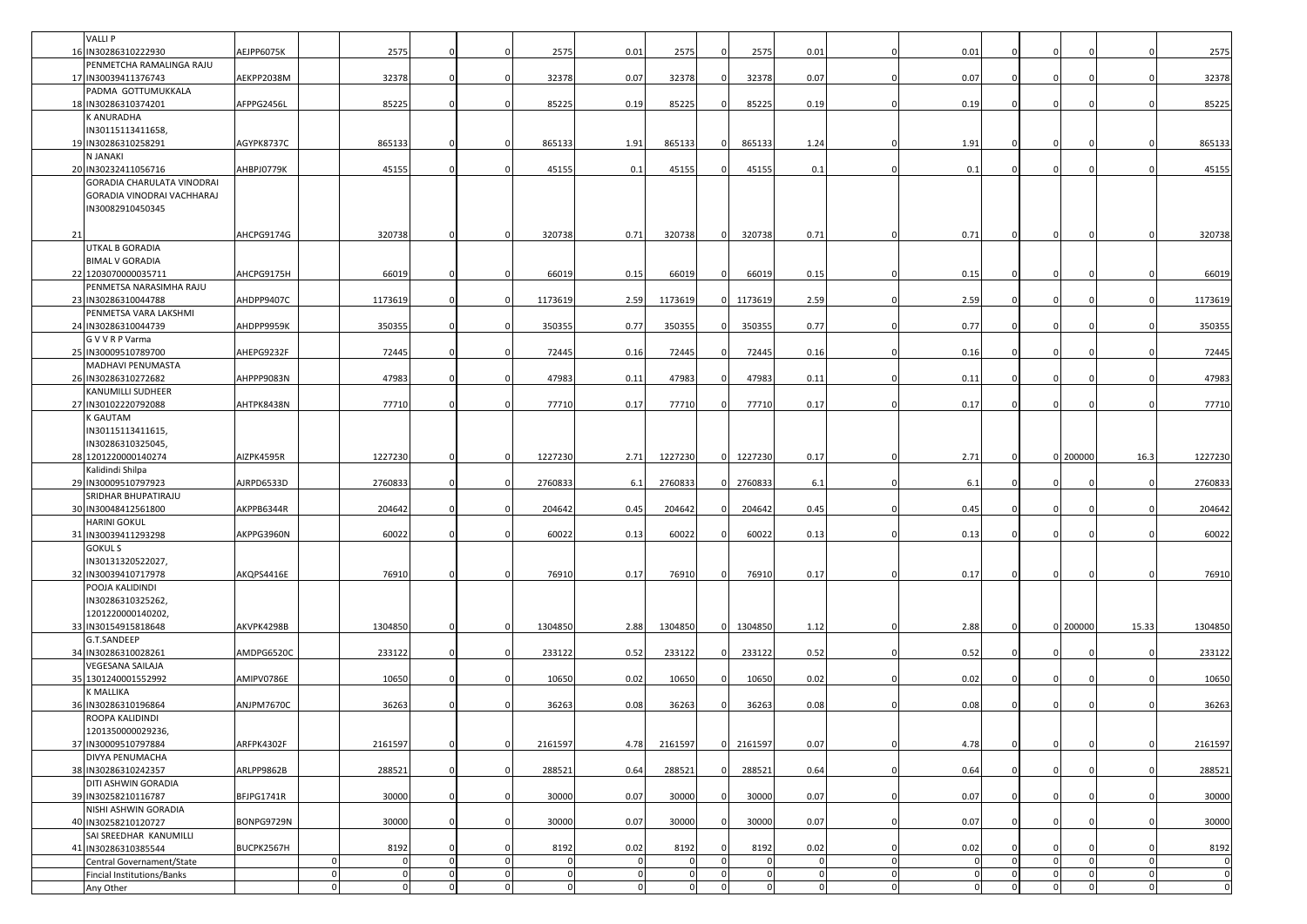|    | VALLI P<br>16 IN30286310222930                 | AEJPP6075K |              | 2575        | $\Omega$     |             | 2575        | 0.01     | 2575           |          | 2575     | 0.01           | $\Omega$       | 0.01           |                |              |              |          | 2575        |
|----|------------------------------------------------|------------|--------------|-------------|--------------|-------------|-------------|----------|----------------|----------|----------|----------------|----------------|----------------|----------------|--------------|--------------|----------|-------------|
|    | PENMETCHA RAMALINGA RAJU                       |            |              |             |              |             |             |          |                |          |          |                |                |                |                |              |              |          |             |
|    | 17 IN30039411376743                            | AEKPP2038M |              | 32378       | $\Omega$     |             | 32378       | 0.07     | 32378          |          | 32378    | 0.07           | $\Omega$       | 0.07           |                | $\Omega$     |              |          | 32378       |
|    | PADMA GOTTUMUKKALA<br>18 IN30286310374201      | AFPPG2456L |              | 85225       | $\Omega$     |             | 85225       | 0.19     | 85225          |          | 85225    | 0.19           | $\Omega$       | 0.19           |                | n            |              |          | 85225       |
|    | <b>ANURADHA</b>                                |            |              |             |              |             |             |          |                |          |          |                |                |                |                |              |              |          |             |
|    | IN30115113411658,                              |            |              |             |              |             |             |          |                |          |          |                |                |                |                |              |              |          |             |
|    | 19 IN30286310258291                            | AGYPK8737C |              | 865133      | $\Omega$     |             | 865133      | 1.91     | 865133         |          | 865133   | 1.24           |                | 1.91           |                | $\Omega$     |              |          | 865133      |
|    | N JANAKI<br>20 IN30232411056716                | AHBPJ0779K |              | 45155       | $\Omega$     |             | 45155       | 0.1      | 45155          |          | 45155    | 0.1            |                | 0.1            |                |              |              |          | 45155       |
|    | GORADIA CHARULATA VINODRAI                     |            |              |             |              |             |             |          |                |          |          |                |                |                |                |              |              |          |             |
|    | GORADIA VINODRAI VACHHARAJ                     |            |              |             |              |             |             |          |                |          |          |                |                |                |                |              |              |          |             |
|    | IN30082910450345                               |            |              |             |              |             |             |          |                |          |          |                |                |                |                |              |              |          |             |
| 21 |                                                | AHCPG9174G |              | 320738      | $\Omega$     |             | 320738      | 0.71     | 320738         |          | 320738   | 0.71           | $\Omega$       | 0.71           |                |              |              |          | 320738      |
|    | <b>JTKAL B GORADIA</b>                         |            |              |             |              |             |             |          |                |          |          |                |                |                |                |              |              |          |             |
|    | <b>BIMAL V GORADIA</b>                         |            |              |             |              |             |             |          |                |          |          |                |                |                |                |              |              |          |             |
|    | 22 1203070000035711<br>PENMETSA NARASIMHA RAJU | AHCPG9175H |              | 66019       | $\mathbf 0$  |             | 66019       | 0.15     | 66019          |          | 66019    | 0.15           | $\Omega$       | 0.15           |                |              |              |          | 66019       |
|    | 23 IN30286310044788                            | AHDPP9407C |              | 1173619     | $\Omega$     |             | 1173619     | 2.59     | 1173619        |          | 1173619  | 2.59           | $\Omega$       | 2.59           |                | $\Omega$     |              |          | 1173619     |
|    | PENMETSA VARA LAKSHMI                          |            |              |             |              |             |             |          |                |          |          |                |                |                |                |              |              |          |             |
|    | 24 IN30286310044739                            | AHDPP9959K |              | 350355      |              |             | 350355      | 0.77     | 350355         |          | 350355   | 0.77           |                | 0.77           |                |              |              |          | 350355      |
|    | G V V R P Varma<br>25 IN30009510789700         | AHEPG9232F |              | 72445       | $\mathbf{0}$ |             | 72445       | 0.16     | 72445          |          | 72445    | 0.16           | $\mathbf 0$    | 0.16           |                | $\Omega$     |              |          | 72445       |
|    | MADHAVI PENUMASTA                              |            |              |             |              |             |             |          |                |          |          |                |                |                |                |              |              |          |             |
|    | 26 IN30286310272682                            | AHPPP9083N |              | 47983       | $\mathbf{0}$ |             | 47983       | 0.11     | 47983          |          | 47983    | 0.11           | $\Omega$       | 0.11           |                | $\Omega$     |              |          | 47983       |
|    | <b>KANUMILLI SUDHEER</b>                       | AHTPK8438N |              |             | $\Omega$     |             |             |          |                |          |          |                |                |                |                |              |              |          |             |
|    | 27 IN30102220792088<br><b>GAUTAM</b>           |            |              | 77710       |              |             | 77710       | 0.17     | 77710          |          | 77710    | 0.17           | $\Omega$       | 0.17           |                |              |              |          | 77710       |
|    | IN30115113411615,                              |            |              |             |              |             |             |          |                |          |          |                |                |                |                |              |              |          |             |
|    | IN30286310325045,                              |            |              |             |              |             |             |          |                |          |          |                |                |                |                |              |              |          |             |
|    | 28 1201220000140274<br><b>Calidindi Shilpa</b> | AIZPK4595R |              | 1227230     |              |             | 1227230     | 2.71     | 1227230        |          | 1227230  | 0.17           |                | 2.71           |                |              | 0 200000     | 16.3     | 1227230     |
|    | 29 IN30009510797923                            | AJRPD6533D |              | 2760833     | $\Omega$     | $\Omega$    | 2760833     | 6.1      | 2760833        |          | 2760833  | 6.1            | $\Omega$       | 6.1            |                | $\Omega$     |              |          | 2760833     |
|    | SRIDHAR BHUPATIRAJU                            |            |              |             |              |             |             |          |                |          |          |                |                |                |                |              |              |          |             |
|    | 30 IN30048412561800                            | AKPPB6344R |              | 204642      | $\mathbf 0$  |             | 204642      | 0.45     | 204642         |          | 204642   | 0.45           | $\Omega$       | 0.45           |                | $\Omega$     |              |          | 204642      |
|    | <b>HARINI GOKUL</b><br>31 IN30039411293298     | AKPPG3960N |              | 60022       | $\mathbf 0$  |             | 60022       | 0.13     | 60022          |          | 60022    | 0.13           | $\Omega$       | 0.13           |                |              |              |          | 60022       |
|    | <b>GOKUL S</b>                                 |            |              |             |              |             |             |          |                |          |          |                |                |                |                |              |              |          |             |
|    | IN30131320522027,                              |            |              |             |              |             |             |          |                |          |          |                |                |                |                |              |              |          |             |
|    | 32 IN30039410717978                            | AKQPS4416E |              | 76910       | $\mathbf{0}$ |             | 76910       | 0.17     | 76910          |          | 76910    | 0.17           | $\Omega$       | 0.17           |                |              |              |          | 76910       |
|    | POOJA KALIDINDI<br>IN30286310325262,           |            |              |             |              |             |             |          |                |          |          |                |                |                |                |              |              |          |             |
|    | 1201220000140202,                              |            |              |             |              |             |             |          |                |          |          |                |                |                |                |              |              |          |             |
|    | 33 IN30154915818648                            | AKVPK4298B |              | 1304850     | $\mathbf 0$  | $\Omega$    | 1304850     | 2.88     | 1304850        |          | 1304850  | 1.12           | $\Omega$       | 2.88           |                |              | 0 200000     | 15.33    | 1304850     |
|    | G.T.SANDEEP                                    |            |              |             |              |             |             |          |                |          |          |                |                |                |                |              |              |          |             |
|    | 34 IN30286310028261<br><b>VEGESANA SAILAJA</b> | AMDPG6520C |              | 233122      | $\Omega$     | $\Omega$    | 233122      | 0.52     | 233122         |          | 233122   | 0.52           | $\Omega$       | 0.52           |                | $\Omega$     |              |          | 233122      |
|    | 35 1301240001552992                            | AMIPV0786E |              | 10650       | $\Omega$     |             | 10650       | 0.02     | 10650          |          | 10650    | 0.02           | $\Omega$       | 0.02           |                | $\Omega$     |              |          | 10650       |
|    | <b>MALLIKA</b>                                 |            |              |             |              |             |             |          |                |          |          |                |                |                |                |              |              |          |             |
|    | 36 IN30286310196864<br>ROOPA KALIDINDI         | ANJPM7670C |              | 36263       | $\mathbf 0$  |             | 36263       | 0.08     | 36263          |          | 36263    | 0.08           | $\Omega$       | 0.08           |                |              |              |          | 36263       |
|    | 1201350000029236,                              |            |              |             |              |             |             |          |                |          |          |                |                |                |                |              |              |          |             |
|    | 37 IN30009510797884                            | ARFPK4302F |              | 2161597     | $\mathbf 0$  | $\Omega$    | 2161597     | 4.78     | 2161597        |          | 2161597  | 0.07           | $\Omega$       | 4.78           |                | $\Omega$     |              |          | 2161597     |
|    | DIVYA PENUMACHA                                |            |              |             |              |             |             |          |                |          |          |                |                |                |                |              |              |          |             |
|    | 38 IN30286310242357<br>DITI ASHWIN GORADIA     | ARLPP9862B |              | 288521      | $\mathbf 0$  | $\Omega$    | 288521      | 0.64     | 288521         |          | 288521   | 0.64           | $\Omega$       | 0.64           |                | $\Omega$     |              |          | 288521      |
|    | 39 IN30258210116787                            | BFJPG1741R |              | 30000       | $\mathbf 0$  | $\Omega$    | 30000       | 0.07     | 30000          |          | 30000    | 0.07           | $\Omega$       | 0.07           |                | $\Omega$     |              |          | 30000       |
|    | NISHI ASHWIN GORADIA                           |            |              |             |              |             |             |          |                |          |          |                |                |                |                |              |              |          |             |
|    | 40 IN30258210120727<br>SAI SREEDHAR KANUMILLI  | BONPG9729N |              | 30000       | $\mathbf 0$  | $\mathbf 0$ | 30000       | 0.07     | 30000          |          | 30000    | 0.07           | $\mathbf 0$    | 0.07           |                | $\Omega$     |              |          | 30000       |
|    | 41 IN30286310385544                            | BUCPK2567H |              | 8192        | $\Omega$     | $\Omega$    | 8192        | 0.02     | 8192           |          | 8192     | 0.02           | $\Omega$       | 0.02           |                | $\Omega$     |              |          | 8192        |
|    | Central Governament/State                      |            |              | $\mathbf 0$ | $\mathbf 0$  | $\mathbf 0$ |             | 0        | $\Omega$       | O        | $\Omega$ |                | $\overline{0}$ | $\overline{0}$ | $\Omega$       | $\mathbf 0$  | $\Omega$     |          | $\mathbf 0$ |
|    | Fincial Institutions/Banks                     |            |              | $\Omega$    | 0            | $\mathbf 0$ | $\mathbf 0$ | $\Omega$ | $\Omega$       |          |          |                | $\mathbf 0$    | $\Omega$       | $\Omega$       | $\mathbf{0}$ | $\mathsf{C}$ | $\Omega$ | $\mathbf 0$ |
|    | Any Other                                      |            | $\mathbf{0}$ | $\Omega$    | $\mathbf 0$  | $\mathbf 0$ | $\Omega$    | $\Omega$ | $\overline{0}$ | $\Omega$ | $\Omega$ | $\overline{0}$ | $\mathbf 0$    | $\mathbf 0$    | $\overline{0}$ | $\mathbf 0$  | $\Omega$     | $\Omega$ | $\mathbf 0$ |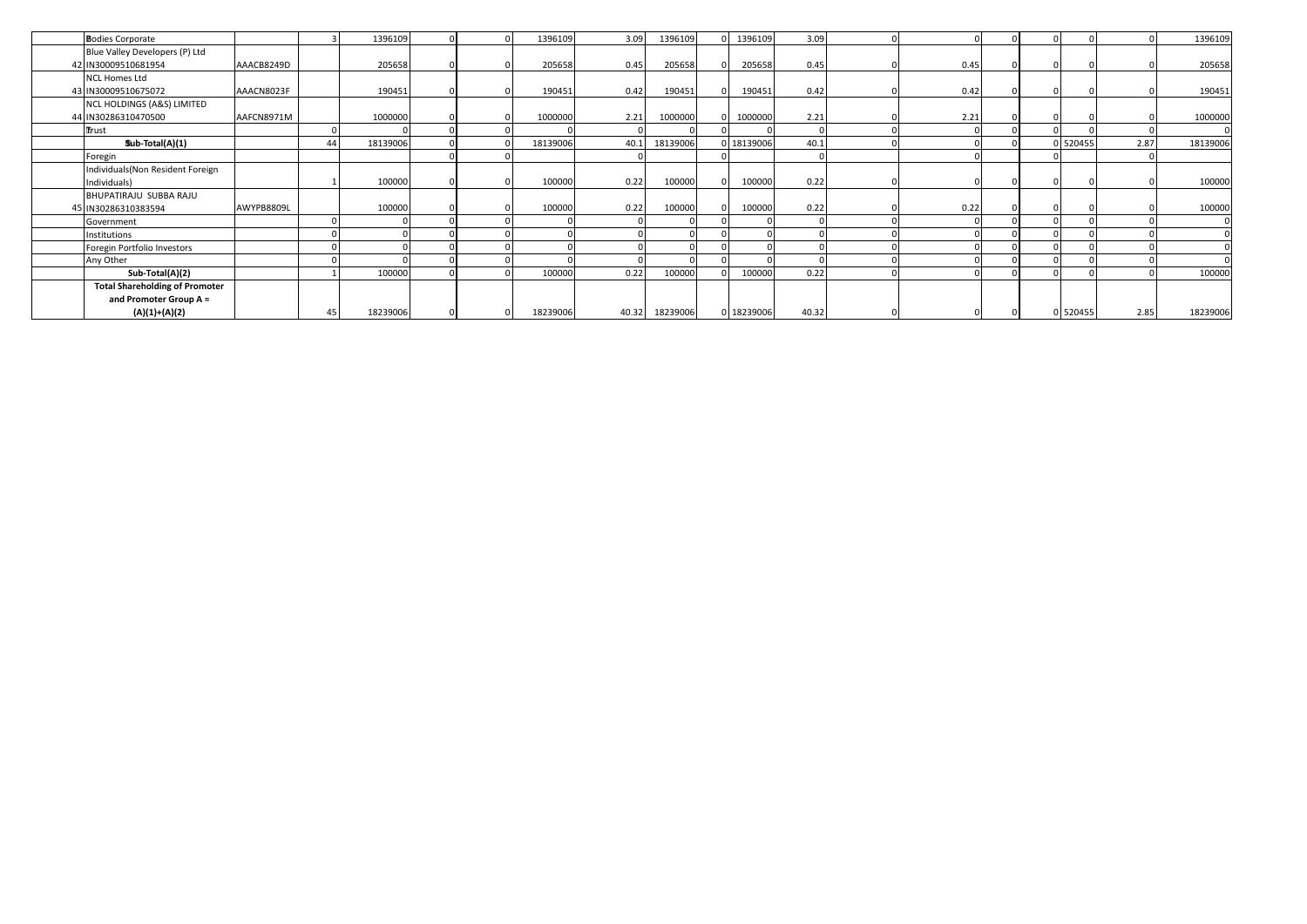| <b>Bodies Corporate</b>               |            |          | 1396109  |  | 1396109  | 3.09 | 1396109        | 1396109    | 3.09  |      |  |          |      | 1396109  |
|---------------------------------------|------------|----------|----------|--|----------|------|----------------|------------|-------|------|--|----------|------|----------|
| Blue Valley Developers (P) Ltd        |            |          |          |  |          |      |                |            |       |      |  |          |      |          |
| 42 IN30009510681954                   | AAACB8249D |          | 205658   |  | 205658   | 0.45 | 205658         | 205658     | 0.45  | 0.45 |  |          |      | 205658   |
| <b>NCL Homes Ltd</b>                  |            |          |          |  |          |      |                |            |       |      |  |          |      |          |
| 43 IN30009510675072                   | AAACN8023F |          | 190451   |  | 190451   | 0.42 | 190451         | 190451     | 0.42  | 0.42 |  |          |      | 190451   |
| NCL HOLDINGS (A&S) LIMITED            |            |          |          |  |          |      |                |            |       |      |  |          |      |          |
| 44 IN30286310470500                   | AAFCN8971M |          | 1000000  |  | 1000000  | 2.21 | 1000000        | 1000000    | 2.21  | 2.21 |  |          |      | 1000000  |
| Trust                                 |            |          |          |  |          |      |                |            |       |      |  |          |      |          |
| Sub-Total(A)(1)                       |            | $\Delta$ | 18139006 |  | 18139006 | 40.1 | 18139006       | 0 18139006 | 40.1  |      |  | 0 520455 | 2.87 | 18139006 |
| Foregin                               |            |          |          |  |          |      |                |            |       |      |  |          |      |          |
| Individuals(Non Resident Foreign      |            |          |          |  |          |      |                |            |       |      |  |          |      |          |
| Individuals)                          |            |          | 100000   |  | 100000   | 0.22 | 100000         | 100000     | 0.22  |      |  |          |      | 100000   |
| BHUPATIRAJU SUBBA RAJU                |            |          |          |  |          |      |                |            |       |      |  |          |      |          |
| 45 IN30286310383594                   | AWYPB8809L |          | 100000   |  | 100000   | 0.22 | 100000         | 100000     | 0.22  | 0.22 |  |          |      | 100000   |
| Government                            |            |          |          |  |          |      |                |            |       |      |  |          |      |          |
| Institutions                          |            |          |          |  |          |      |                |            |       |      |  |          |      |          |
| Foregin Portfolio Investors           |            |          |          |  |          |      |                |            |       |      |  |          |      |          |
| Any Other                             |            |          |          |  |          |      |                |            |       |      |  |          |      |          |
| Sub-Total(A)(2)                       |            |          | 100000   |  | 100000   | 0.22 | 100000         | 100000     | 0.22  |      |  |          |      | 100000   |
| <b>Total Shareholding of Promoter</b> |            |          |          |  |          |      |                |            |       |      |  |          |      |          |
| and Promoter Group A =                |            |          |          |  |          |      |                |            |       |      |  |          |      |          |
| $(A)(1)+(A)(2)$                       |            |          | 18239006 |  | 18239006 |      | 40.32 18239006 | 0 18239006 | 40.32 |      |  | 0 520455 | 2.85 | 18239006 |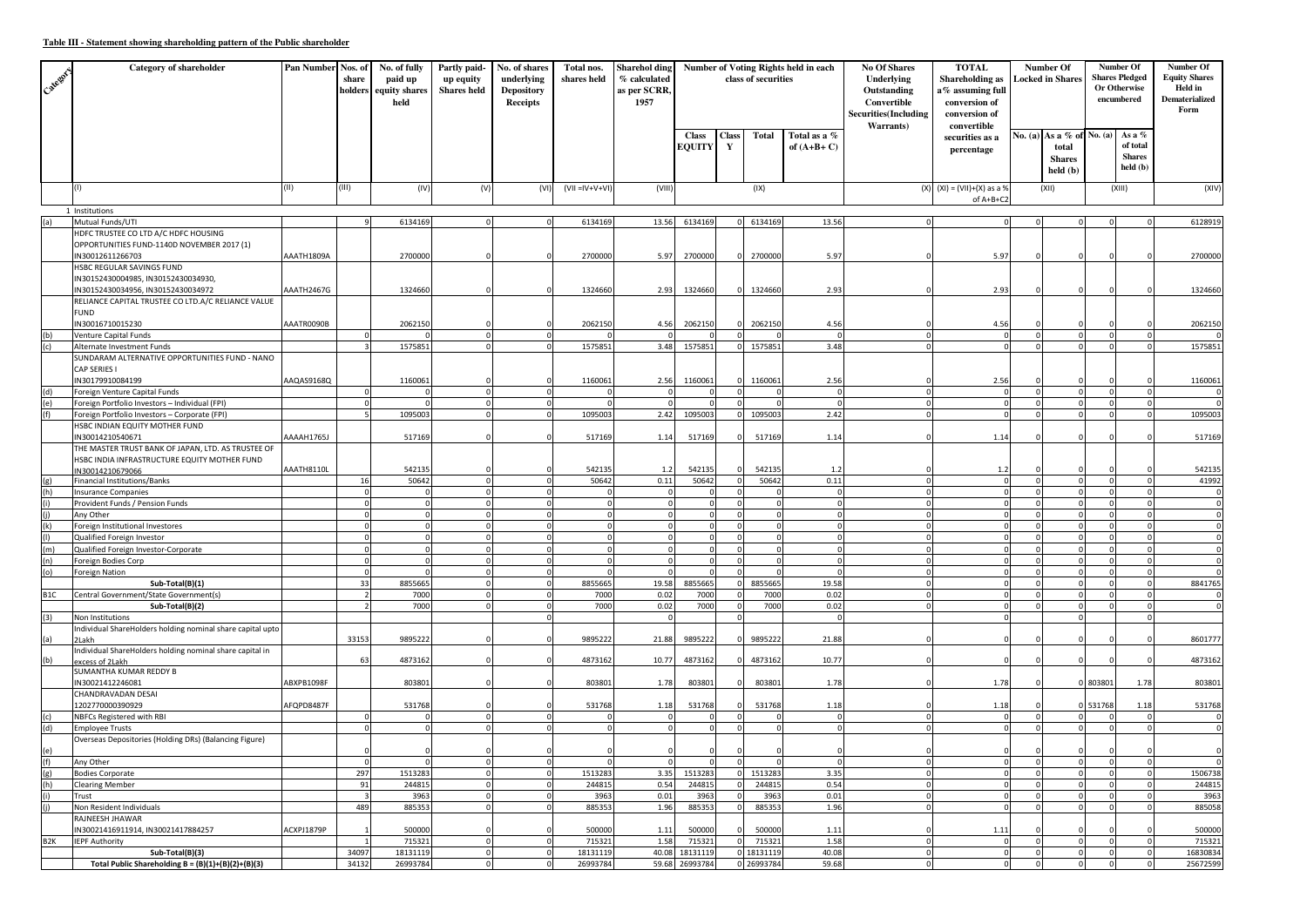## **Table III - Statement showing shareholding pattern of the Public shareholder**

| Calego.          | <b>Category of shareholder</b>                                                                         | <b>Pan Number</b> | Nos. of<br>share<br>holders | No. of fully<br>paid up<br>equity shares<br>held | Partly paid-<br>up equity<br><b>Shares</b> held | No. of shares<br>underlying<br><b>Depository</b><br>Receipts | Total nos.<br>shares held | Sharehol ding<br>% calculated<br>as per SCRR,<br>1957 | Number of Voting Rights held in each<br>class of securities |                   |                   |                              | <b>No Of Shares</b><br>Underlying<br>Outstanding<br>Convertible<br><b>Securities</b> (Including | <b>TOTAL</b><br><b>Shareholding as</b><br>a% assuming full<br>conversion of<br>conversion of<br>Warrants)<br>convertible |            | Number Of<br><b>Locked in Shares</b>                            | Number Of<br><b>Shares Pledged</b><br>Or Otherwise<br>encumbered |                                                 | Number Of<br><b>Equity Shares</b><br>Held in<br><b>Dematerialized</b><br>Form |
|------------------|--------------------------------------------------------------------------------------------------------|-------------------|-----------------------------|--------------------------------------------------|-------------------------------------------------|--------------------------------------------------------------|---------------------------|-------------------------------------------------------|-------------------------------------------------------------|-------------------|-------------------|------------------------------|-------------------------------------------------------------------------------------------------|--------------------------------------------------------------------------------------------------------------------------|------------|-----------------------------------------------------------------|------------------------------------------------------------------|-------------------------------------------------|-------------------------------------------------------------------------------|
|                  |                                                                                                        |                   |                             |                                                  |                                                 |                                                              |                           |                                                       | <b>Class</b><br><b>EQUITY</b>                               | <b>Class</b><br>Y | <b>Total</b>      | Total as a %<br>of $(A+B+C)$ |                                                                                                 | securities as a<br>percentage                                                                                            |            | No. (a) As a % of No. (a)<br>total<br><b>Shares</b><br>held (b) |                                                                  | As a %<br>of total<br><b>Shares</b><br>held (b) |                                                                               |
|                  | (1)                                                                                                    | (II)              | (III)                       | (IV)                                             | (V)                                             | (VI)                                                         | $(VII = IV + V + VI)$     | (VIII)                                                |                                                             |                   | (IX)              |                              | (X)                                                                                             | $(XI) = (VII)+(X)$ as a 9<br>of A+B+C2                                                                                   |            | (XII)                                                           |                                                                  | (XIII)                                          | (XIV)                                                                         |
| (a)              | 1 Institutions<br>Mutual Funds/UTI                                                                     |                   |                             | 6134169                                          |                                                 | $\mathbf 0$                                                  | 6134169                   | 13.56                                                 | 6134169                                                     |                   | 6134169           | 13.56                        |                                                                                                 |                                                                                                                          |            |                                                                 |                                                                  |                                                 | 6128919                                                                       |
|                  | HDFC TRUSTEE CO LTD A/C HDFC HOUSING                                                                   |                   |                             |                                                  |                                                 |                                                              |                           |                                                       |                                                             |                   |                   |                              |                                                                                                 |                                                                                                                          |            |                                                                 |                                                                  |                                                 |                                                                               |
|                  | OPPORTUNITIES FUND-1140D NOVEMBER 2017 (1)<br>IN30012611266703                                         | AAATH1809A        |                             | 2700000                                          |                                                 |                                                              | 2700000                   | 5.97                                                  | 2700000                                                     |                   | 0 2700000         | 5.97                         |                                                                                                 | 5.97                                                                                                                     |            | $\epsilon$                                                      |                                                                  |                                                 | 2700000                                                                       |
|                  | HSBC REGULAR SAVINGS FUND<br>IN30152430004985, IN30152430034930,<br>IN30152430034956, IN30152430034972 | AAATH2467G        |                             | 1324660                                          |                                                 |                                                              | 1324660                   | 2.93                                                  | 1324660                                                     | $\Omega$          | 1324660           | 2.93                         |                                                                                                 | 2.93                                                                                                                     |            |                                                                 |                                                                  |                                                 | 1324660                                                                       |
|                  | RELIANCE CAPITAL TRUSTEE CO LTD.A/C RELIANCE VALUE<br><b>FUND</b>                                      |                   |                             |                                                  |                                                 |                                                              |                           |                                                       |                                                             |                   |                   |                              |                                                                                                 |                                                                                                                          |            |                                                                 |                                                                  |                                                 |                                                                               |
|                  | IN30016710015230                                                                                       | AAATR0090B        |                             | 2062150                                          | $\Omega$                                        |                                                              | 2062150                   | 4.56                                                  | 2062150                                                     |                   | 2062150           | 4.56<br>$\Omega$             | $\Omega$                                                                                        | 4.56                                                                                                                     | $\Omega$   |                                                                 |                                                                  |                                                 | 2062150                                                                       |
| (b)<br>(c)       | Venture Capital Funds<br>Alternate Investment Funds                                                    |                   | $\Omega$                    | $\Omega$<br>1575851                              |                                                 | $\Omega$<br>$\Omega$                                         | 1575851                   | 3.48                                                  | $\Omega$<br>1575851                                         |                   | 1575851           | 3.48                         |                                                                                                 |                                                                                                                          |            | $\Omega$                                                        |                                                                  | $\Omega$                                        | 1575851                                                                       |
|                  | SUNDARAM ALTERNATIVE OPPORTUNITIES FUND - NANO<br>CAP SERIES I                                         |                   |                             |                                                  |                                                 |                                                              |                           |                                                       |                                                             |                   |                   |                              |                                                                                                 |                                                                                                                          |            |                                                                 |                                                                  |                                                 |                                                                               |
| (d)              | IN30179910084199<br>Foreign Venture Capital Funds                                                      | AAQAS9168Q        |                             | 1160061<br>$\Omega$                              | $\Omega$                                        | $\Omega$                                                     | 1160061                   | 2.56                                                  | 1160061<br>$\Omega$                                         |                   | 1160061           | 2.56<br>$\Omega$             |                                                                                                 | 2.56<br>$\sqrt{ }$                                                                                                       |            |                                                                 |                                                                  |                                                 | 1160061                                                                       |
| (e)              | Foreign Portfolio Investors - Individual (FPI)                                                         |                   | C                           | $\Omega$                                         | $\Omega$                                        | $\mathbf 0$                                                  | $\Omega$                  |                                                       | n                                                           |                   |                   | $\Omega$                     | $\Omega$                                                                                        |                                                                                                                          |            |                                                                 |                                                                  |                                                 |                                                                               |
| (f)              | Foreign Portfolio Investors - Corporate (FPI)                                                          |                   |                             | 1095003                                          | $\Omega$                                        | $\mathbf{0}$                                                 | 1095003                   | 2.42                                                  | 1095003                                                     | $\circ$           | 1095003           | 2.42                         | $\Omega$                                                                                        | $\Omega$                                                                                                                 | $\Omega$   | $\Omega$                                                        |                                                                  | $\Omega$                                        | 1095003                                                                       |
|                  | HSBC INDIAN EQUITY MOTHER FUND                                                                         |                   |                             |                                                  |                                                 |                                                              |                           |                                                       |                                                             |                   |                   |                              |                                                                                                 |                                                                                                                          |            |                                                                 |                                                                  |                                                 |                                                                               |
|                  | IN30014210540671<br>THE MASTER TRUST BANK OF JAPAN, LTD. AS TRUSTEE OF                                 | AAAAH1765J        |                             | 517169                                           |                                                 |                                                              | 517169                    | 1.14                                                  | 517169                                                      |                   | 517169            | 1.14                         |                                                                                                 | 1.14                                                                                                                     |            |                                                                 |                                                                  |                                                 | 517169                                                                        |
|                  | HSBC INDIA INFRASTRUCTURE EQUITY MOTHER FUND                                                           |                   |                             |                                                  |                                                 |                                                              |                           |                                                       |                                                             |                   |                   |                              |                                                                                                 |                                                                                                                          |            |                                                                 |                                                                  |                                                 |                                                                               |
|                  | IN30014210679066                                                                                       | AAATH8110L        |                             | 542135                                           |                                                 |                                                              | 542135                    | 1.2                                                   | 542135                                                      |                   | 542135            | 1.2                          |                                                                                                 | 1.2                                                                                                                      |            |                                                                 |                                                                  |                                                 | 542135                                                                        |
|                  | Financial Institutions/Banks                                                                           |                   | 16                          | 50642                                            |                                                 |                                                              | 50642                     | 0.11                                                  | 50642                                                       |                   | 50642             | 0.11                         |                                                                                                 |                                                                                                                          |            |                                                                 |                                                                  |                                                 | 41992                                                                         |
| (h)              | <b>Insurance Companies</b><br>Provident Funds / Pension Funds                                          |                   |                             | $\Omega$<br>$\overline{0}$                       | $\Omega$                                        | $\mathbf 0$<br>$\Omega$                                      | $\Omega$<br>$\Omega$      |                                                       |                                                             |                   |                   | $\sqrt{ }$<br>$\Omega$       |                                                                                                 |                                                                                                                          |            |                                                                 |                                                                  | $\mathbf{0}$<br>$\Omega$                        |                                                                               |
|                  | Any Other                                                                                              |                   |                             | $\overline{0}$                                   |                                                 | $\Omega$                                                     | $\Omega$                  |                                                       |                                                             | $\Omega$          |                   | $\sqrt{2}$                   | $\Omega$                                                                                        |                                                                                                                          |            |                                                                 |                                                                  | $\Omega$                                        | $\Omega$                                                                      |
| (k)              | Foreign Institutional Investores                                                                       |                   | $\mathsf{C}$                | $\circ$                                          | $\Omega$                                        | $\circ$                                                      | $\circ$                   | $\Omega$                                              | $\Omega$                                                    |                   |                   | $\circ$                      | $\Omega$                                                                                        |                                                                                                                          | $\Omega$   | C                                                               |                                                                  | $\Omega$                                        | $\Omega$                                                                      |
|                  | Qualified Foreign Investor                                                                             |                   |                             | $\overline{0}$                                   | $\Omega$                                        | $\Omega$                                                     | $\Omega$                  |                                                       |                                                             |                   |                   | $\Omega$                     | $\Omega$                                                                                        |                                                                                                                          |            |                                                                 |                                                                  | $\Omega$                                        |                                                                               |
| (m)              | Qualified Foreign Investor-Corporate                                                                   |                   |                             | $\mathbf 0$                                      |                                                 | $\Omega$                                                     | $\Omega$                  |                                                       |                                                             |                   |                   | $\Omega$                     |                                                                                                 |                                                                                                                          |            |                                                                 |                                                                  | $\Omega$                                        |                                                                               |
| (n)<br>(o)       | Foreign Bodies Corp<br>Foreign Nation                                                                  |                   | -C                          | $\Omega$<br>$\Omega$                             |                                                 | $\Omega$<br>$\Omega$                                         | $\Omega$                  |                                                       |                                                             |                   |                   | $\sqrt{2}$<br>$\sqrt{ }$     | $\Omega$                                                                                        |                                                                                                                          |            |                                                                 |                                                                  |                                                 |                                                                               |
|                  | Sub-Total(B)(1)                                                                                        |                   | 33                          | 8855665                                          |                                                 |                                                              | 8855665                   | 19.58                                                 | 885566                                                      |                   | 8855665           | 19.58                        |                                                                                                 |                                                                                                                          |            |                                                                 |                                                                  |                                                 | 8841765                                                                       |
| B <sub>1</sub> C | Central Government/State Government(s)                                                                 |                   |                             | 7000                                             |                                                 |                                                              | 7000                      | 0.02                                                  | 7000                                                        |                   | 7000              | 0.02                         |                                                                                                 |                                                                                                                          |            |                                                                 |                                                                  |                                                 |                                                                               |
|                  | Sub-Total(B)(2)                                                                                        |                   |                             | 7000                                             |                                                 |                                                              | 7000                      | 0.02                                                  | 7000                                                        |                   | 7000              | 0.02                         |                                                                                                 |                                                                                                                          |            |                                                                 |                                                                  |                                                 |                                                                               |
| (3)              | Non Institutions                                                                                       |                   |                             |                                                  |                                                 | $\Omega$                                                     |                           |                                                       |                                                             |                   |                   | $\sqrt{2}$                   |                                                                                                 |                                                                                                                          |            |                                                                 |                                                                  |                                                 |                                                                               |
| (a)              | Individual ShareHolders holding nominal share capital upto<br>21 akh                                   |                   | 33153                       | 9895222                                          |                                                 |                                                              | 9895222                   | 21.88                                                 | 989522                                                      |                   | 9895222           | 21.88                        |                                                                                                 |                                                                                                                          |            |                                                                 |                                                                  |                                                 | 8601777                                                                       |
|                  | Individual ShareHolders holding nominal share capital in                                               |                   |                             |                                                  |                                                 |                                                              |                           |                                                       |                                                             |                   |                   |                              |                                                                                                 |                                                                                                                          |            |                                                                 |                                                                  |                                                 |                                                                               |
| (b)              | xcess of 2Lakh<br>SUMANTHA KUMAR REDDY B<br>IN30021412246081                                           | ABXPB1098F        | 63                          | 4873162<br>803801                                |                                                 |                                                              | 4873162<br>803801         | 10.77<br>1.78                                         | 4873162<br>803801                                           |                   | 4873162<br>803801 | 10.77<br>1.78                |                                                                                                 | 1.78                                                                                                                     |            |                                                                 | 0 803801                                                         | 1.78                                            | 4873162<br>803801                                                             |
|                  | CHANDRAVADAN DESAI<br>1202770000390929                                                                 | AFQPD8487F        |                             | 531768                                           |                                                 |                                                              | 531768                    | 1.18                                                  | 531768                                                      |                   | 531768            | 1.18                         |                                                                                                 | 1.18                                                                                                                     |            |                                                                 | 0 531768                                                         | 1.18                                            | 531768                                                                        |
| (c)              | NBFCs Registered with RBI                                                                              |                   |                             | $\Omega$                                         |                                                 | $\Omega$                                                     |                           |                                                       |                                                             |                   |                   | $\sqrt{ }$                   |                                                                                                 |                                                                                                                          |            |                                                                 |                                                                  |                                                 |                                                                               |
| (d)              | <b>Employee Trusts</b>                                                                                 |                   |                             | $\mathbf 0$                                      |                                                 |                                                              |                           |                                                       |                                                             |                   |                   | $\sqrt{2}$                   |                                                                                                 |                                                                                                                          |            |                                                                 |                                                                  |                                                 |                                                                               |
|                  | Overseas Depositories (Holding DRs) (Balancing Figure)                                                 |                   |                             |                                                  |                                                 |                                                              |                           |                                                       |                                                             |                   |                   |                              |                                                                                                 |                                                                                                                          |            |                                                                 |                                                                  |                                                 |                                                                               |
|                  |                                                                                                        |                   |                             |                                                  |                                                 |                                                              |                           |                                                       |                                                             |                   |                   |                              |                                                                                                 |                                                                                                                          |            |                                                                 |                                                                  |                                                 |                                                                               |
| (f)<br>(g)       | Any Other<br><b>Bodies Corporate</b>                                                                   |                   | $\Omega$<br>297             | $\Omega$<br>1513283                              | $\Omega$                                        | $\mathbf 0$<br>$\mathbf 0$                                   | 1513283                   | 3.35                                                  | 1513283                                                     |                   | 0 1513283         | $\Omega$<br>3.35             | $\Omega$                                                                                        | $\Omega$                                                                                                                 | $\circ$    | -C<br>$\Omega$                                                  |                                                                  | $\mathbf{0}$<br>$\mathbf{0}$                    | 1506738                                                                       |
| (h)              | <b>Clearing Member</b>                                                                                 |                   | 91                          | 244815                                           |                                                 | $\Omega$                                                     | 244815                    | 0.54                                                  | 244815                                                      | $\Omega$          | 244815            | 0.54                         | $\Omega$                                                                                        |                                                                                                                          |            |                                                                 |                                                                  | $\Omega$                                        | 24481                                                                         |
| (i)              | Trust                                                                                                  |                   |                             | 3963                                             |                                                 | $\mathbf 0$                                                  | 3963                      | 0.01                                                  | 3963                                                        |                   | 3963              | 0.01                         | $\Omega$                                                                                        | $\Omega$                                                                                                                 | $\Omega$   |                                                                 |                                                                  | $\overline{0}$                                  | 3963                                                                          |
|                  | Non Resident Individuals                                                                               |                   | 489                         | 885353                                           |                                                 | $\Omega$                                                     | 885353                    | 1.96                                                  | 885353                                                      |                   | 885353            | 1.96                         |                                                                                                 |                                                                                                                          |            |                                                                 |                                                                  | $\mathbf{0}$                                    | 885058                                                                        |
|                  | RAJNEESH JHAWAR<br>IN30021416911914, IN30021417884257                                                  | ACXPJ1879P        |                             | 500000                                           |                                                 |                                                              | 500000                    | 1.11                                                  | 500000                                                      |                   | 500000            | 1.11                         |                                                                                                 | 1.11                                                                                                                     |            |                                                                 |                                                                  |                                                 | 500000                                                                        |
| B <sub>2</sub> K | <b>IEPF Authority</b>                                                                                  |                   |                             | 715321                                           |                                                 | $\Omega$                                                     | 715321                    | 1.58                                                  | 715321                                                      | $\Omega$          | 715321            | 1.58                         | $\Omega$                                                                                        |                                                                                                                          | $\sqrt{ }$ | C                                                               |                                                                  |                                                 | 715321                                                                        |
|                  | Sub-Total(B)(3)                                                                                        |                   | 34097                       | 18131119                                         | $\Omega$                                        | $\Omega$                                                     | 18131119                  | 40.08                                                 | 18131119                                                    |                   | 0 18131119        | 40.08                        | $\mathbf{0}$                                                                                    | $\Omega$                                                                                                                 | $\Omega$   | $\Omega$                                                        |                                                                  | $\mathbf{0}$                                    | 16830834                                                                      |
|                  | Total Public Shareholding $B = (B)(1)+(B)(2)+(B)(3)$                                                   |                   | 34132                       | 26993784                                         | $\mathbf 0$                                     | $\mathbf 0$                                                  | 26993784                  |                                                       | 59.68 26993784                                              |                   | 0 26993784        | 59.68                        | $\mathbf{0}$                                                                                    | $\Omega$                                                                                                                 | $\Omega$   | $\mathbf 0$                                                     |                                                                  | $\mathbf{0}$                                    | 25672599                                                                      |